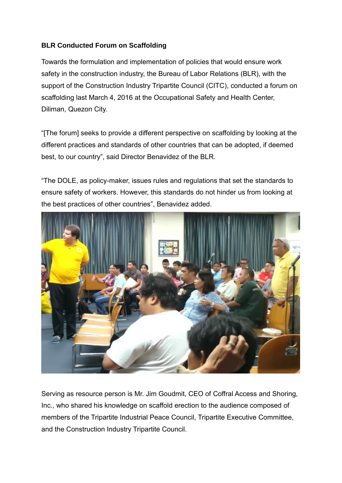## **BLR Conducted Forum on Scaffolding**

Towards the formulation and implementation of policies that would ensure work safety in the construction industry, the Bureau of Labor Relations (BLR), with the support of the Construction Industry Tripartite Council (CITC), conducted a forum on scaffolding last March 4, 2016 at the Occupational Safety and Health Center, Diliman, Quezon City.

"[The forum] seeks to provide a different perspective on scaffolding by looking at the different practices and standards of other countries that can be adopted, if deemed best, to our country", said Director Benavidez of the BLR.

"The DOLE, as policy-maker, issues rules and regulations that set the standards to ensure safety of workers. However, this standards do not hinder us from looking at the best practices of other countries", Benavidez added.



Serving as resource person is Mr. Jim Goudmit, CEO of Coffral Access and Shoring, Inc., who shared his knowledge on scaffold erection to the audience composed of members of the Tripartite Industrial Peace Council, Tripartite Executive Committee, and the Construction Industry Tripartite Council.